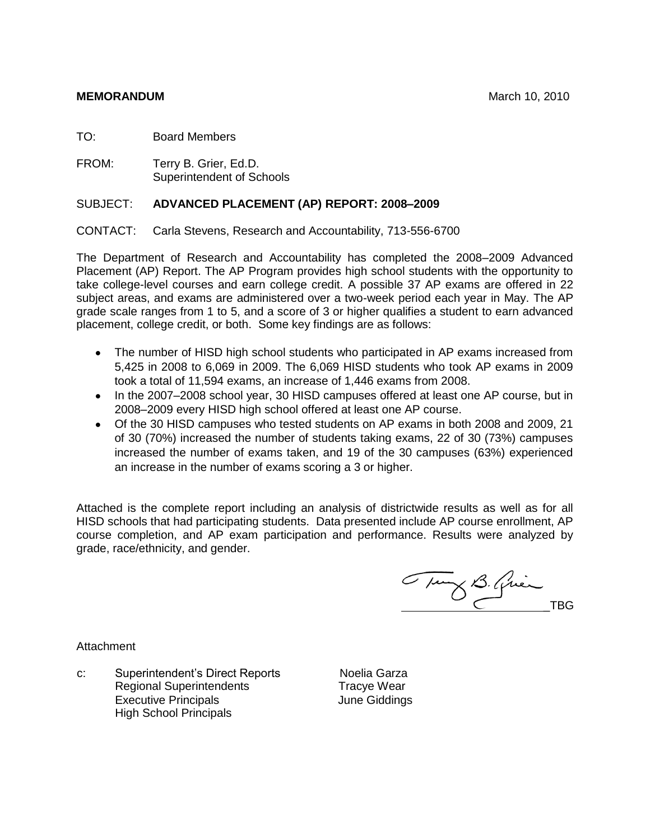# **MEMORANDUM MEMORANDUM MEMORANDUM MARCH 10, 2010**

TO: Board Members

FROM: Terry B. Grier, Ed.D. Superintendent of Schools

# SUBJECT: **ADVANCED PLACEMENT (AP) REPORT: 2008–2009**

CONTACT: Carla Stevens, Research and Accountability, 713-556-6700

The Department of Research and Accountability has completed the 2008–2009 Advanced Placement (AP) Report. The AP Program provides high school students with the opportunity to take college-level courses and earn college credit. A possible 37 AP exams are offered in 22 subject areas, and exams are administered over a two-week period each year in May. The AP grade scale ranges from 1 to 5, and a score of 3 or higher qualifies a student to earn advanced placement, college credit, or both. Some key findings are as follows:

- The number of HISD high school students who participated in AP exams increased from 5,425 in 2008 to 6,069 in 2009. The 6,069 HISD students who took AP exams in 2009 took a total of 11,594 exams, an increase of 1,446 exams from 2008.
- In the 2007–2008 school year, 30 HISD campuses offered at least one AP course, but in 2008–2009 every HISD high school offered at least one AP course.
- Of the 30 HISD campuses who tested students on AP exams in both 2008 and 2009, 21 of 30 (70%) increased the number of students taking exams, 22 of 30 (73%) campuses increased the number of exams taken, and 19 of the 30 campuses (63%) experienced an increase in the number of exams scoring a 3 or higher.

Attached is the complete report including an analysis of districtwide results as well as for all HISD schools that had participating students. Data presented include AP course enrollment, AP course completion, and AP exam participation and performance. Results were analyzed by grade, race/ethnicity, and gender.

Tung B. Quin

Attachment

c: Superintendent's Direct Reports Noelia Garza Regional Superintendents Tracye Wear Executive Principals **Executive Principals** High School Principals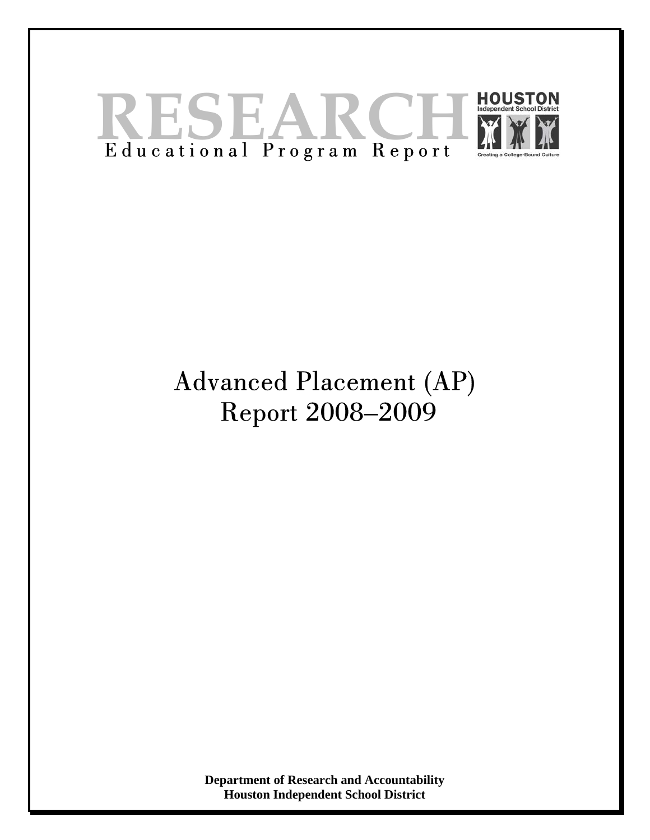

# Advanced Placement (AP) Report 2008–2009

**Department of Research and Accountability Houston Independent School District**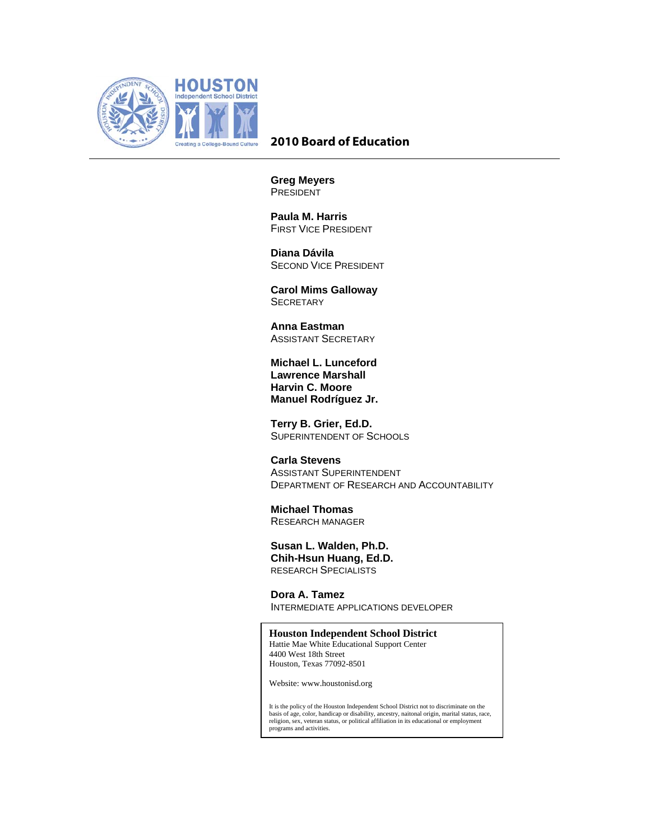

# **2010 Board of Education**

**Greg Meyers**  PRESIDENT

 **Paula M. Harris**  FIRST VICE PRESIDENT

 **Diana Dávila**  SECOND VICE PRESIDENT

 **Carol Mims Galloway SECRETARY** 

 **Anna Eastman**  ASSISTANT SECRETARY

**Michael L. Lunceford Lawrence Marshall Harvin C. Moore Manuel Rodríguez Jr.** 

 **Terry B. Grier, Ed.D.**  SUPERINTENDENT OF SCHOOLS

 **Carla Stevens**  ASSISTANT SUPERINTENDENT DEPARTMENT OF RESEARCH AND ACCOUNTABILITY

 **Michael Thomas**  RESEARCH MANAGER

 **Susan L. Walden, Ph.D. Chih-Hsun Huang, Ed.D.**  RESEARCH SPECIALISTS

**Dora A. Tamez**  INTERMEDIATE APPLICATIONS DEVELOPER

 **Houston Independent School District**  Hattie Mae White Educational Support Center 4400 West 18th Street

Houston, Texas 77092-8501

Website: www.houstonisd.org

It is the policy of the Houston Independent School District not to discriminate on the<br>basis of age, color, handicap or disability, ancestry, naitonal origin, marital status, race,<br>religion, sex, veteran status, or politic programs and activities.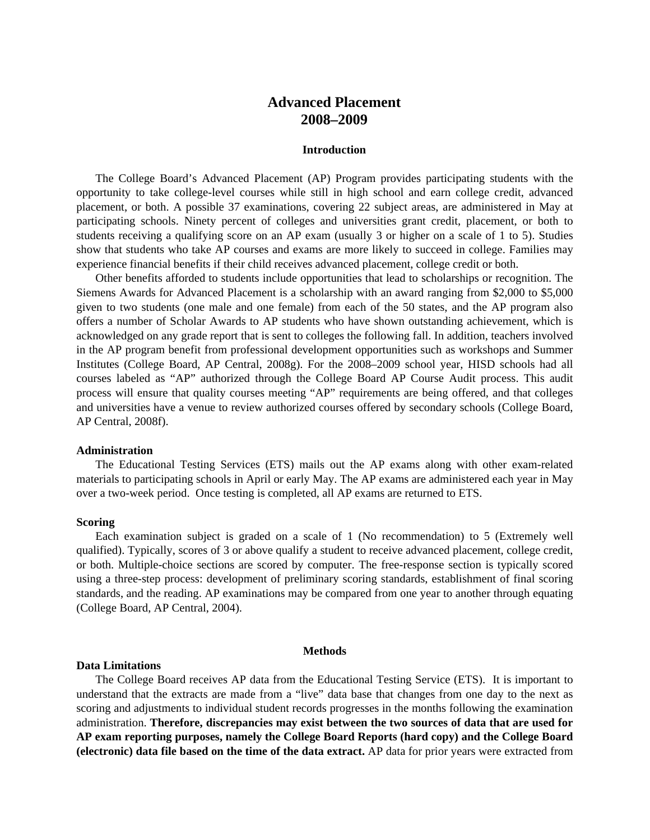# **Advanced Placement 2008–2009**

## **Introduction**

The College Board's Advanced Placement (AP) Program provides participating students with the opportunity to take college-level courses while still in high school and earn college credit, advanced placement, or both. A possible 37 examinations, covering 22 subject areas, are administered in May at participating schools. Ninety percent of colleges and universities grant credit, placement, or both to students receiving a qualifying score on an AP exam (usually 3 or higher on a scale of 1 to 5). Studies show that students who take AP courses and exams are more likely to succeed in college. Families may experience financial benefits if their child receives advanced placement, college credit or both.

Other benefits afforded to students include opportunities that lead to scholarships or recognition. The Siemens Awards for Advanced Placement is a scholarship with an award ranging from \$2,000 to \$5,000 given to two students (one male and one female) from each of the 50 states, and the AP program also offers a number of Scholar Awards to AP students who have shown outstanding achievement, which is acknowledged on any grade report that is sent to colleges the following fall. In addition, teachers involved in the AP program benefit from professional development opportunities such as workshops and Summer Institutes (College Board, AP Central, 2008g). For the 2008–2009 school year, HISD schools had all courses labeled as "AP" authorized through the College Board AP Course Audit process. This audit process will ensure that quality courses meeting "AP" requirements are being offered, and that colleges and universities have a venue to review authorized courses offered by secondary schools (College Board, AP Central, 2008f).

## **Administration**

The Educational Testing Services (ETS) mails out the AP exams along with other exam-related materials to participating schools in April or early May. The AP exams are administered each year in May over a two-week period. Once testing is completed, all AP exams are returned to ETS.

## **Scoring**

Each examination subject is graded on a scale of 1 (No recommendation) to 5 (Extremely well qualified). Typically, scores of 3 or above qualify a student to receive advanced placement, college credit, or both. Multiple-choice sections are scored by computer. The free-response section is typically scored using a three-step process: development of preliminary scoring standards, establishment of final scoring standards, and the reading. AP examinations may be compared from one year to another through equating (College Board, AP Central, 2004).

#### **Methods**

## **Data Limitations**

The College Board receives AP data from the Educational Testing Service (ETS). It is important to understand that the extracts are made from a "live" data base that changes from one day to the next as scoring and adjustments to individual student records progresses in the months following the examination administration. **Therefore, discrepancies may exist between the two sources of data that are used for AP exam reporting purposes, namely the College Board Reports (hard copy) and the College Board (electronic) data file based on the time of the data extract.** AP data for prior years were extracted from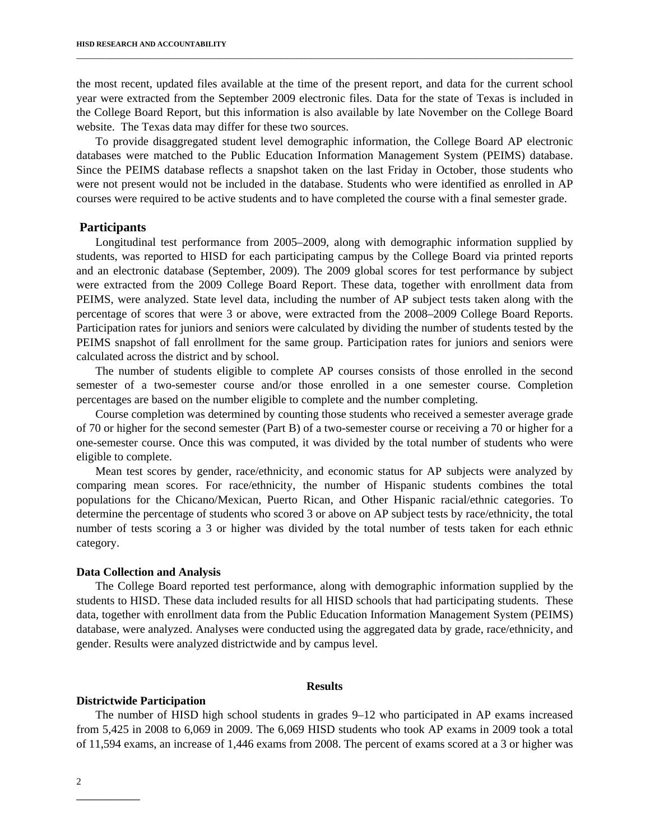the most recent, updated files available at the time of the present report, and data for the current school year were extracted from the September 2009 electronic files. Data for the state of Texas is included in the College Board Report, but this information is also available by late November on the College Board website. The Texas data may differ for these two sources.

\_\_\_\_\_\_\_\_\_\_\_\_\_\_\_\_\_\_\_\_\_\_\_\_\_\_\_\_\_\_\_\_\_\_\_\_\_\_\_\_\_\_\_\_\_\_\_\_\_\_\_\_\_\_\_\_\_\_\_\_\_\_\_\_\_\_\_\_\_\_\_\_\_\_\_\_\_\_\_\_\_\_\_\_\_\_\_\_\_\_\_\_\_\_\_\_\_\_\_\_\_\_\_\_

To provide disaggregated student level demographic information, the College Board AP electronic databases were matched to the Public Education Information Management System (PEIMS) database. Since the PEIMS database reflects a snapshot taken on the last Friday in October, those students who were not present would not be included in the database. Students who were identified as enrolled in AP courses were required to be active students and to have completed the course with a final semester grade.

## **Participants**

Longitudinal test performance from 2005–2009, along with demographic information supplied by students, was reported to HISD for each participating campus by the College Board via printed reports and an electronic database (September, 2009). The 2009 global scores for test performance by subject were extracted from the 2009 College Board Report. These data, together with enrollment data from PEIMS, were analyzed. State level data, including the number of AP subject tests taken along with the percentage of scores that were 3 or above, were extracted from the 2008–2009 College Board Reports. Participation rates for juniors and seniors were calculated by dividing the number of students tested by the PEIMS snapshot of fall enrollment for the same group. Participation rates for juniors and seniors were calculated across the district and by school.

The number of students eligible to complete AP courses consists of those enrolled in the second semester of a two-semester course and/or those enrolled in a one semester course. Completion percentages are based on the number eligible to complete and the number completing.

Course completion was determined by counting those students who received a semester average grade of 70 or higher for the second semester (Part B) of a two-semester course or receiving a 70 or higher for a one-semester course. Once this was computed, it was divided by the total number of students who were eligible to complete.

Mean test scores by gender, race/ethnicity, and economic status for AP subjects were analyzed by comparing mean scores. For race/ethnicity, the number of Hispanic students combines the total populations for the Chicano/Mexican, Puerto Rican, and Other Hispanic racial/ethnic categories. To determine the percentage of students who scored 3 or above on AP subject tests by race/ethnicity, the total number of tests scoring a 3 or higher was divided by the total number of tests taken for each ethnic category.

## **Data Collection and Analysis**

The College Board reported test performance, along with demographic information supplied by the students to HISD. These data included results for all HISD schools that had participating students. These data, together with enrollment data from the Public Education Information Management System (PEIMS) database, were analyzed. Analyses were conducted using the aggregated data by grade, race/ethnicity, and gender. Results were analyzed districtwide and by campus level.

#### **Results**

## **Districtwide Participation**

The number of HISD high school students in grades 9–12 who participated in AP exams increased from 5,425 in 2008 to 6,069 in 2009. The 6,069 HISD students who took AP exams in 2009 took a total of 11,594 exams, an increase of 1,446 exams from 2008. The percent of exams scored at a 3 or higher was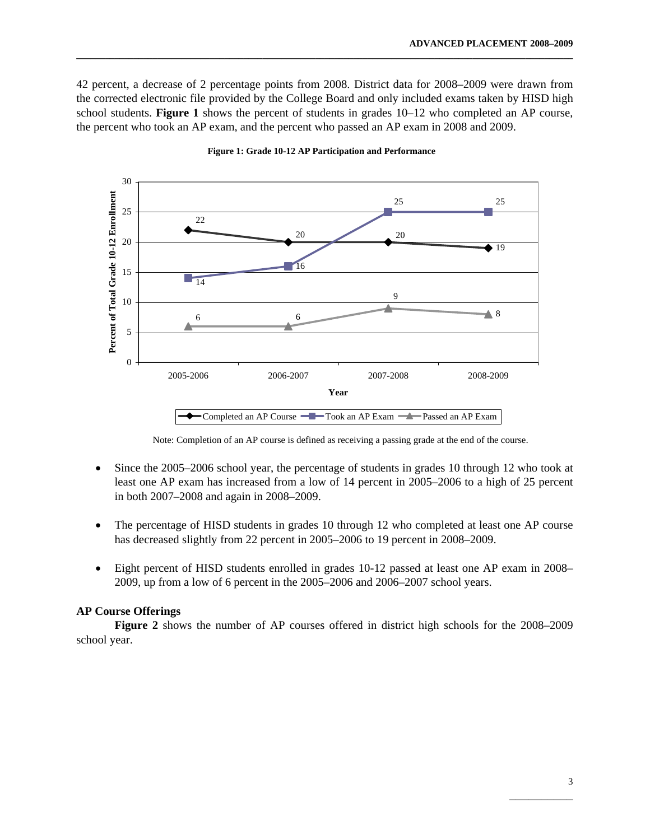42 percent, a decrease of 2 percentage points from 2008. District data for 2008–2009 were drawn from the corrected electronic file provided by the College Board and only included exams taken by HISD high school students. **Figure 1** shows the percent of students in grades 10–12 who completed an AP course, the percent who took an AP exam, and the percent who passed an AP exam in 2008 and 2009.

**\_\_\_\_\_\_\_\_\_\_\_\_\_\_\_\_\_\_\_\_\_\_\_\_\_\_\_\_\_\_\_\_\_\_\_\_\_\_\_\_\_\_\_\_\_\_\_\_\_\_\_\_\_\_\_\_\_\_\_\_\_\_\_\_\_\_\_\_\_\_\_\_\_\_\_\_\_\_\_\_\_\_\_\_\_\_\_\_\_\_\_\_\_\_\_\_\_\_\_\_\_\_\_\_** 



**Figure 1: Grade 10-12 AP Participation and Performance**

Note: Completion of an AP course is defined as receiving a passing grade at the end of the course.

- Since the 2005–2006 school year, the percentage of students in grades 10 through 12 who took at least one AP exam has increased from a low of 14 percent in 2005–2006 to a high of 25 percent in both 2007–2008 and again in 2008–2009.
- The percentage of HISD students in grades 10 through 12 who completed at least one AP course has decreased slightly from 22 percent in 2005–2006 to 19 percent in 2008–2009.
- Eight percent of HISD students enrolled in grades 10-12 passed at least one AP exam in 2008– 2009, up from a low of 6 percent in the 2005–2006 and 2006–2007 school years.

## **AP Course Offerings**

 **Figure 2** shows the number of AP courses offered in district high schools for the 2008–2009 school year.

 $\mathcal{L}_\mathcal{L}$  , which is a set of the set of the set of the set of the set of the set of the set of the set of the set of the set of the set of the set of the set of the set of the set of the set of the set of the set of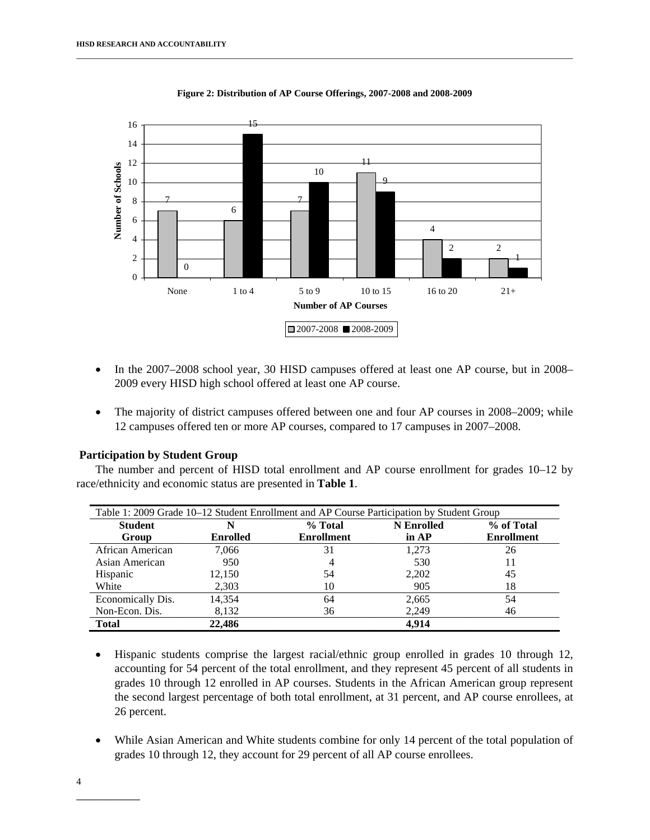

**Figure 2: Distribution of AP Course Offerings, 2007-2008 and 2008-2009**

- In the 2007–2008 school year, 30 HISD campuses offered at least one AP course, but in 2008– 2009 every HISD high school offered at least one AP course.
- The majority of district campuses offered between one and four AP courses in 2008–2009; while 12 campuses offered ten or more AP courses, compared to 17 campuses in 2007–2008.

## **Participation by Student Group**

The number and percent of HISD total enrollment and AP course enrollment for grades 10–12 by race/ethnicity and economic status are presented in **Table 1**.

| Table 1: 2009 Grade 10–12 Student Enrollment and AP Course Participation by Student Group |                 |                   |                   |                   |  |  |  |  |
|-------------------------------------------------------------------------------------------|-----------------|-------------------|-------------------|-------------------|--|--|--|--|
| <b>Student</b>                                                                            | N               | % Total           | <b>N</b> Enrolled | % of Total        |  |  |  |  |
| Group                                                                                     | <b>Enrolled</b> | <b>Enrollment</b> | in AP             | <b>Enrollment</b> |  |  |  |  |
| African American                                                                          | 7.066           | 31                | 1,273             | 26                |  |  |  |  |
| Asian American                                                                            | 950             | 4                 | 530               |                   |  |  |  |  |
| Hispanic                                                                                  | 12,150          | 54                | 2,202             | 45                |  |  |  |  |
| White                                                                                     | 2,303           | 10                | 905               | 18                |  |  |  |  |
| Economically Dis.                                                                         | 14.354          | 64                | 2,665             | 54                |  |  |  |  |
| Non-Econ. Dis.                                                                            | 8,132           | 36                | 2,249             | 46                |  |  |  |  |
| <b>Total</b>                                                                              | 22,486          |                   | 4.914             |                   |  |  |  |  |

- Hispanic students comprise the largest racial/ethnic group enrolled in grades 10 through 12, accounting for 54 percent of the total enrollment, and they represent 45 percent of all students in grades 10 through 12 enrolled in AP courses. Students in the African American group represent the second largest percentage of both total enrollment, at 31 percent, and AP course enrollees, at 26 percent.
- While Asian American and White students combine for only 14 percent of the total population of grades 10 through 12, they account for 29 percent of all AP course enrollees.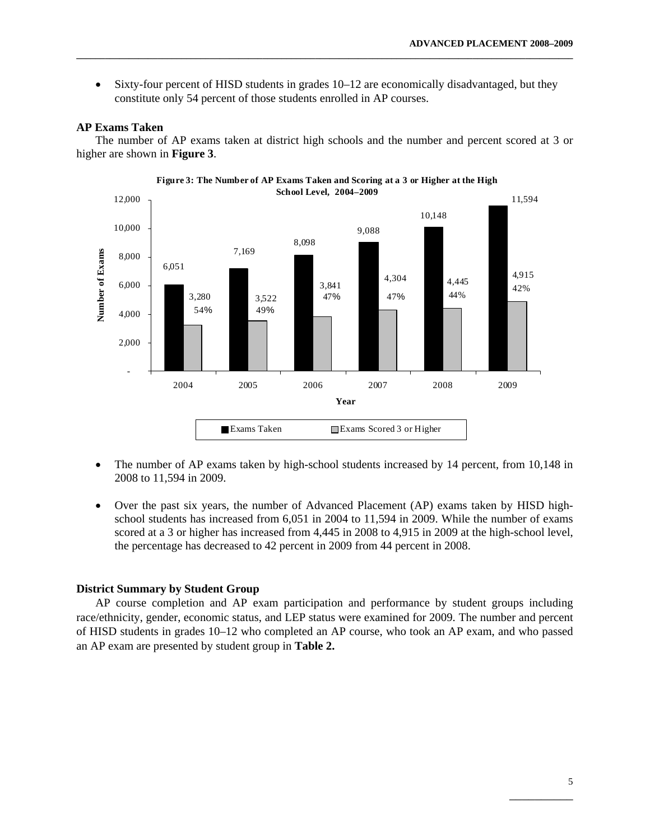• Sixty-four percent of HISD students in grades 10–12 are economically disadvantaged, but they constitute only 54 percent of those students enrolled in AP courses.

**\_\_\_\_\_\_\_\_\_\_\_\_\_\_\_\_\_\_\_\_\_\_\_\_\_\_\_\_\_\_\_\_\_\_\_\_\_\_\_\_\_\_\_\_\_\_\_\_\_\_\_\_\_\_\_\_\_\_\_\_\_\_\_\_\_\_\_\_\_\_\_\_\_\_\_\_\_\_\_\_\_\_\_\_\_\_\_\_\_\_\_\_\_\_\_\_\_\_\_\_\_\_\_\_** 

## **AP Exams Taken**

The number of AP exams taken at district high schools and the number and percent scored at 3 or higher are shown in **Figure 3**.



- The number of AP exams taken by high-school students increased by 14 percent, from 10,148 in 2008 to 11,594 in 2009.
- Over the past six years, the number of Advanced Placement (AP) exams taken by HISD highschool students has increased from 6,051 in 2004 to 11,594 in 2009. While the number of exams scored at a 3 or higher has increased from 4,445 in 2008 to 4,915 in 2009 at the high-school level, the percentage has decreased to 42 percent in 2009 from 44 percent in 2008.

## **District Summary by Student Group**

AP course completion and AP exam participation and performance by student groups including race/ethnicity, gender, economic status, and LEP status were examined for 2009. The number and percent of HISD students in grades 10–12 who completed an AP course, who took an AP exam, and who passed an AP exam are presented by student group in **Table 2.** 

 $\mathcal{L}_\mathcal{L}$  , which is a set of the set of the set of the set of the set of the set of the set of the set of the set of the set of the set of the set of the set of the set of the set of the set of the set of the set of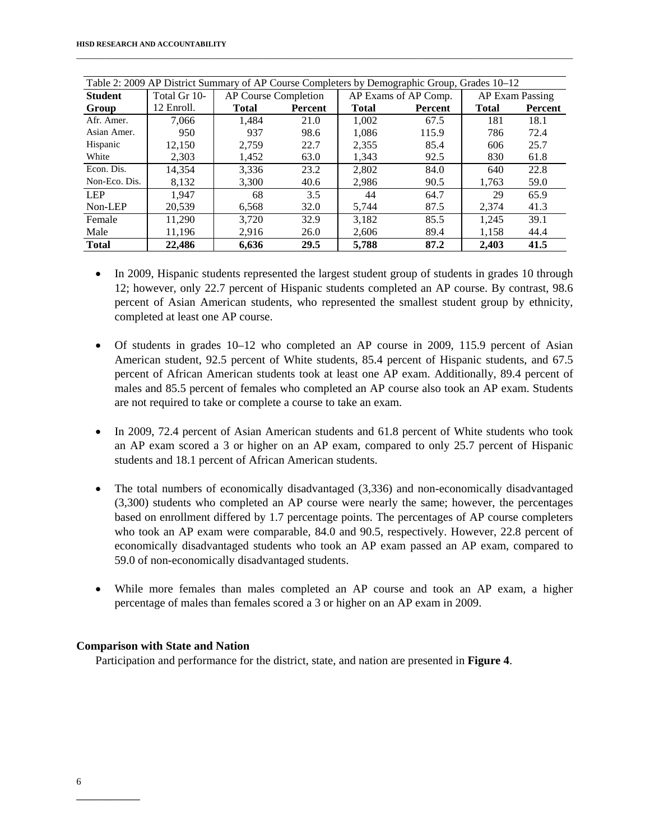| Table 2: 2009 AP District Summary of AP Course Completers by Demographic Group, Grades 10–12 |                                      |                                |      |              |                      |                 |                |  |  |
|----------------------------------------------------------------------------------------------|--------------------------------------|--------------------------------|------|--------------|----------------------|-----------------|----------------|--|--|
| <b>Student</b>                                                                               | Total Gr 10-<br>AP Course Completion |                                |      |              | AP Exams of AP Comp. | AP Exam Passing |                |  |  |
| Group                                                                                        | 12 Enroll.                           | <b>Total</b><br><b>Percent</b> |      | <b>Total</b> | Percent              |                 | <b>Percent</b> |  |  |
| Afr. Amer.                                                                                   | 7.066                                | 1,484                          | 21.0 | 1,002        | 67.5                 | 181             | 18.1           |  |  |
| Asian Amer.                                                                                  | 950                                  | 937                            | 98.6 | 1.086        | 115.9                | 786             | 72.4           |  |  |
| Hispanic                                                                                     | 12,150                               | 2.759                          | 22.7 | 2,355        | 85.4                 | 606             | 25.7           |  |  |
| White                                                                                        | 2,303                                | 1,452                          | 63.0 | 1.343        | 92.5                 | 830             | 61.8           |  |  |
| Econ. Dis.                                                                                   | 14.354                               | 3.336                          | 23.2 | 2.802        | 84.0                 | 640             | 22.8           |  |  |
| Non-Eco. Dis.                                                                                | 8,132                                | 3,300                          | 40.6 | 2,986        | 90.5                 | 1,763           | 59.0           |  |  |
| <b>LEP</b>                                                                                   | 1.947                                | 68                             | 3.5  | 44           | 64.7                 | 29              | 65.9           |  |  |
| Non-LEP                                                                                      | 20,539                               | 6,568                          | 32.0 | 5,744        | 87.5                 | 2,374           | 41.3           |  |  |
| Female                                                                                       | 11,290                               | 3.720                          | 32.9 | 3.182        | 85.5                 | 1,245           | 39.1           |  |  |
| Male                                                                                         | 11,196                               | 2,916                          | 26.0 | 2,606        | 89.4                 | 1,158           | 44.4           |  |  |
| <b>Total</b>                                                                                 | 22,486                               | 6.636                          | 29.5 | 5,788        | 87.2                 | 2.403           | 41.5           |  |  |

- In 2009, Hispanic students represented the largest student group of students in grades 10 through 12; however, only 22.7 percent of Hispanic students completed an AP course. By contrast, 98.6 percent of Asian American students, who represented the smallest student group by ethnicity, completed at least one AP course.
- Of students in grades 10–12 who completed an AP course in 2009, 115.9 percent of Asian American student, 92.5 percent of White students, 85.4 percent of Hispanic students, and 67.5 percent of African American students took at least one AP exam. Additionally, 89.4 percent of males and 85.5 percent of females who completed an AP course also took an AP exam. Students are not required to take or complete a course to take an exam.
- In 2009, 72.4 percent of Asian American students and 61.8 percent of White students who took an AP exam scored a 3 or higher on an AP exam, compared to only 25.7 percent of Hispanic students and 18.1 percent of African American students.
- The total numbers of economically disadvantaged (3,336) and non-economically disadvantaged (3,300) students who completed an AP course were nearly the same; however, the percentages based on enrollment differed by 1.7 percentage points. The percentages of AP course completers who took an AP exam were comparable, 84.0 and 90.5, respectively. However, 22.8 percent of economically disadvantaged students who took an AP exam passed an AP exam, compared to 59.0 of non-economically disadvantaged students.
- While more females than males completed an AP course and took an AP exam, a higher percentage of males than females scored a 3 or higher on an AP exam in 2009.

# **Comparison with State and Nation**

Participation and performance for the district, state, and nation are presented in **Figure 4**.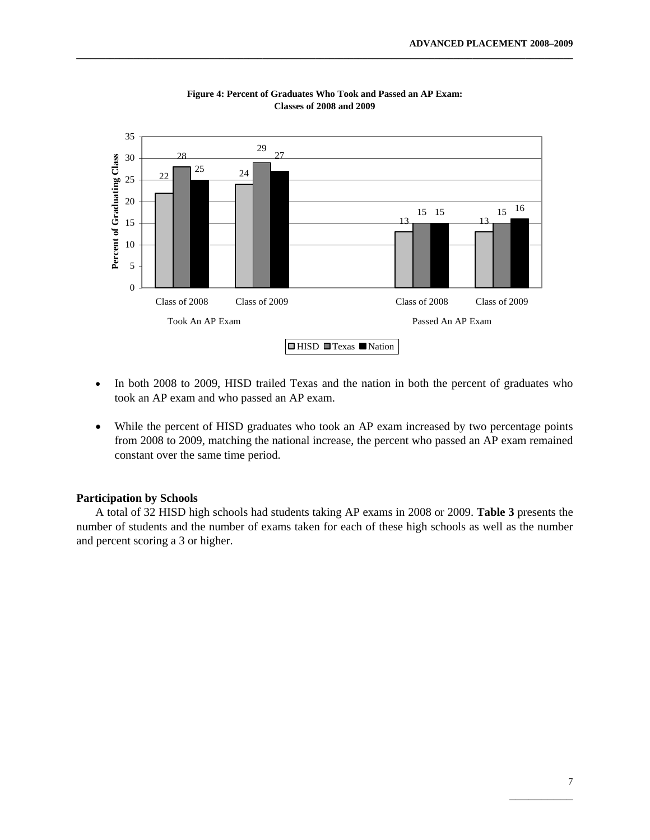

**Figure 4: Percent of Graduates Who Took and Passed an AP Exam: Classes of 2008 and 2009**

- In both 2008 to 2009, HISD trailed Texas and the nation in both the percent of graduates who took an AP exam and who passed an AP exam.
- While the percent of HISD graduates who took an AP exam increased by two percentage points from 2008 to 2009, matching the national increase, the percent who passed an AP exam remained constant over the same time period.

## **Participation by Schools**

A total of 32 HISD high schools had students taking AP exams in 2008 or 2009. **Table 3** presents the number of students and the number of exams taken for each of these high schools as well as the number and percent scoring a 3 or higher.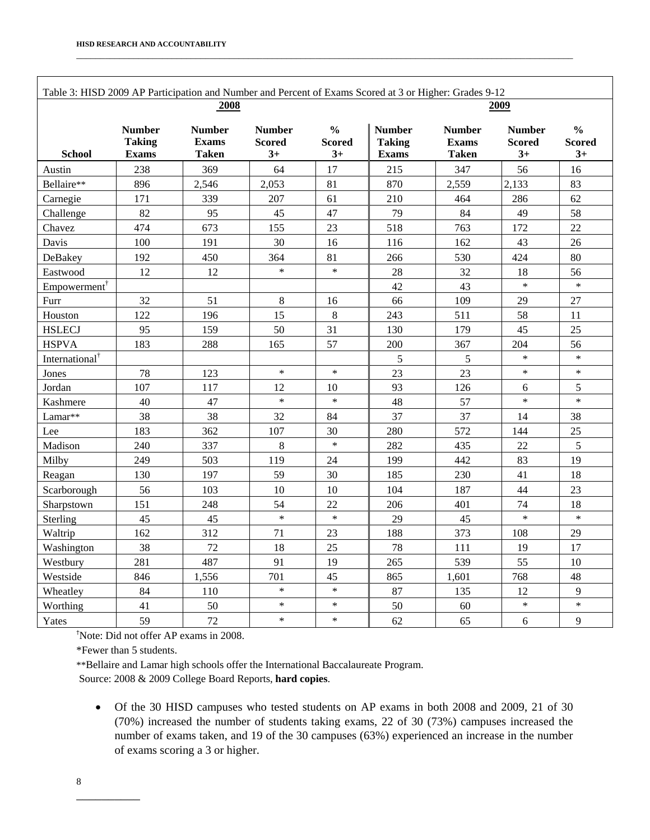| Table 3: HISD 2009 AP Participation and Number and Percent of Exams Scored at 3 or Higher: Grades 9-12 |                                                |                                               |                                        |                                        |                                                |                                        |                                        |                                        |  |  |
|--------------------------------------------------------------------------------------------------------|------------------------------------------------|-----------------------------------------------|----------------------------------------|----------------------------------------|------------------------------------------------|----------------------------------------|----------------------------------------|----------------------------------------|--|--|
|                                                                                                        |                                                | 2008                                          |                                        | 2009                                   |                                                |                                        |                                        |                                        |  |  |
| <b>School</b>                                                                                          | <b>Number</b><br><b>Taking</b><br><b>Exams</b> | <b>Number</b><br><b>Exams</b><br><b>Taken</b> | <b>Number</b><br><b>Scored</b><br>$3+$ | $\frac{6}{6}$<br><b>Scored</b><br>$3+$ | <b>Number</b><br><b>Taking</b><br><b>Exams</b> | <b>Number</b><br><b>Exams</b><br>Taken | <b>Number</b><br><b>Scored</b><br>$3+$ | $\frac{0}{0}$<br><b>Scored</b><br>$3+$ |  |  |
| Austin                                                                                                 | 238                                            | 369                                           | 64                                     | 17                                     | 215                                            | 347                                    | 56                                     | 16                                     |  |  |
| Bellaire**                                                                                             | 896                                            | 2,546                                         | 2,053                                  | 81                                     | 870                                            | 2,559                                  | 2,133                                  | 83                                     |  |  |
| Carnegie                                                                                               | 171                                            | 339                                           | 207                                    | 61                                     | 210                                            | 464                                    | 286                                    | 62                                     |  |  |
| Challenge                                                                                              | 82                                             | 95                                            | 45                                     | 47                                     | 79                                             | 84                                     | 49                                     | 58                                     |  |  |
| Chavez                                                                                                 | 474                                            | 673                                           | 155                                    | 23                                     | 518                                            | 763                                    | 172                                    | 22                                     |  |  |
| Davis                                                                                                  | 100                                            | 191                                           | 30                                     | 16                                     | 116                                            | 162                                    | 43                                     | 26                                     |  |  |
| DeBakey                                                                                                | 192                                            | 450                                           | 364                                    | 81                                     | 266                                            | 530                                    | 424                                    | 80                                     |  |  |
| Eastwood                                                                                               | 12                                             | 12                                            | $\ast$                                 | $\ast$                                 | 28                                             | 32                                     | 18                                     | 56                                     |  |  |
| $Empowerment^{\dagger}$                                                                                |                                                |                                               |                                        |                                        | 42                                             | 43                                     | $\ast$                                 | $\ast$                                 |  |  |
| Furr                                                                                                   | 32                                             | 51                                            | 8                                      | 16                                     | 66                                             | 109                                    | 29                                     | 27                                     |  |  |
| Houston                                                                                                | 122                                            | 196                                           | 15                                     | 8                                      | 243                                            | 511                                    | 58                                     | 11                                     |  |  |
| <b>HSLECJ</b>                                                                                          | 95                                             | 159                                           | 50                                     | 31                                     | 130                                            | 179                                    | 45                                     | 25                                     |  |  |
| <b>HSPVA</b>                                                                                           | 183                                            | 288                                           | 165                                    | 57                                     | 200                                            | 367                                    | 204                                    | 56                                     |  |  |
| International <sup>†</sup>                                                                             |                                                |                                               |                                        |                                        | 5                                              | 5                                      | $\ast$                                 | $\ast$                                 |  |  |
| Jones                                                                                                  | 78                                             | 123                                           | $\ast$                                 | $\ast$                                 | 23                                             | 23                                     | $\ast$                                 | $\ast$                                 |  |  |
| Jordan                                                                                                 | 107                                            | 117                                           | 12                                     | 10                                     | 93                                             | 126                                    | 6                                      | 5                                      |  |  |
| Kashmere                                                                                               | 40                                             | 47                                            | $\ast$                                 | $\ast$                                 | 48                                             | 57                                     | $\ast$                                 | $\ast$                                 |  |  |
| Lamar**                                                                                                | 38                                             | 38                                            | 32                                     | 84                                     | 37                                             | 37                                     | 14                                     | 38                                     |  |  |
| Lee                                                                                                    | 183                                            | 362                                           | 107                                    | 30                                     | 280                                            | 572                                    | 144                                    | 25                                     |  |  |
| Madison                                                                                                | 240                                            | 337                                           | $\,8\,$                                | $\ast$                                 | 282                                            | 435                                    | 22                                     | 5                                      |  |  |
| Milby                                                                                                  | 249                                            | 503                                           | 119                                    | 24                                     | 199                                            | 442                                    | 83                                     | 19                                     |  |  |
| Reagan                                                                                                 | 130                                            | 197                                           | 59                                     | 30                                     | 185                                            | 230                                    | 41                                     | 18                                     |  |  |
| Scarborough                                                                                            | 56                                             | 103                                           | 10                                     | 10                                     | 104                                            | 187                                    | 44                                     | 23                                     |  |  |
| Sharpstown                                                                                             | 151                                            | 248                                           | 54                                     | 22                                     | 206                                            | 401                                    | 74                                     | 18                                     |  |  |
| Sterling                                                                                               | 45                                             | 45                                            | $\ast$                                 | $\ast$                                 | 29                                             | 45                                     | $\ast$                                 | $\ast$                                 |  |  |
| Waltrip                                                                                                | 162                                            | 312                                           | 71                                     | 23                                     | 188                                            | 373                                    | 108                                    | 29                                     |  |  |
| Washington                                                                                             | 38                                             | 72                                            | 18                                     | 25                                     | 78                                             | 111                                    | 19                                     | 17                                     |  |  |
| Westbury                                                                                               | 281                                            | 487                                           | 91                                     | 19                                     | 265                                            | 539                                    | 55                                     | 10                                     |  |  |
| Westside                                                                                               | 846                                            | 1,556                                         | 701                                    | 45                                     | 865                                            | 1,601                                  | 768                                    | 48                                     |  |  |
| Wheatley                                                                                               | 84                                             | 110                                           | $\ast$                                 | $\ast$                                 | 87                                             | 135                                    | 12                                     | 9                                      |  |  |
| Worthing                                                                                               | 41                                             | 50                                            | $\ast$                                 | $\ast$                                 | 50                                             | 60                                     | $\ast$                                 | $\ast$                                 |  |  |
| Yates                                                                                                  | 59                                             | 72                                            | $\ast$                                 | $\ast$                                 | 62                                             | 65                                     | 6                                      | 9                                      |  |  |

† Note: Did not offer AP exams in 2008.

\*Fewer than 5 students.

\*\*Bellaire and Lamar high schools offer the International Baccalaureate Program. Source: 2008 & 2009 College Board Reports, **hard copies**.

• Of the 30 HISD campuses who tested students on AP exams in both 2008 and 2009, 21 of 30 (70%) increased the number of students taking exams, 22 of 30 (73%) campuses increased the number of exams taken, and 19 of the 30 campuses (63%) experienced an increase in the number of exams scoring a 3 or higher.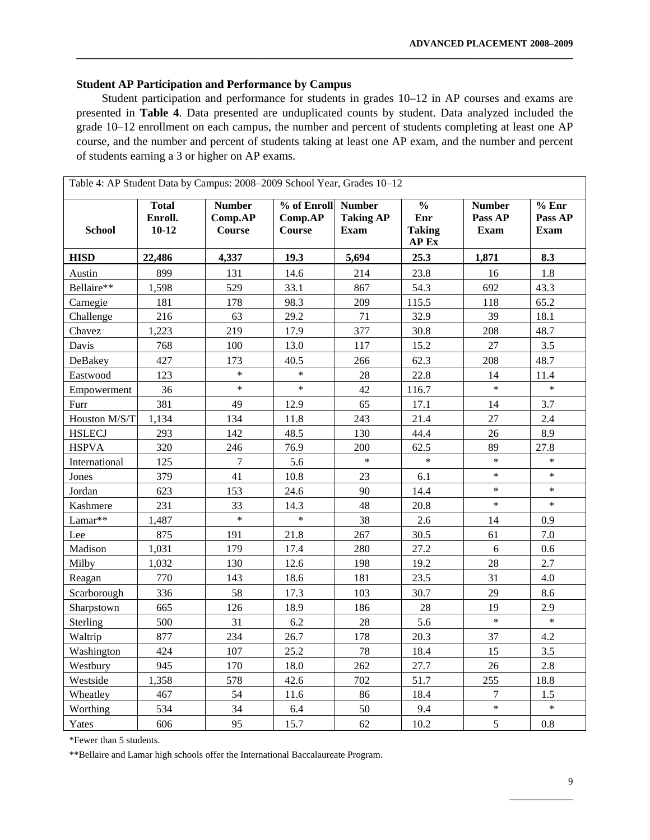## **Student AP Participation and Performance by Campus**

Student participation and performance for students in grades 10–12 in AP courses and exams are presented in **Table 4**. Data presented are unduplicated counts by student. Data analyzed included the grade 10–12 enrollment on each campus, the number and percent of students completing at least one AP course, and the number and percent of students taking at least one AP exam, and the number and percent of students earning a 3 or higher on AP exams.

**\_\_\_\_\_\_\_\_\_\_\_\_\_\_\_\_\_\_\_\_\_\_\_\_\_\_\_\_\_\_\_\_\_\_\_\_\_\_\_\_\_\_\_\_\_\_\_\_\_\_\_\_\_\_\_\_\_\_\_\_\_\_\_\_\_\_\_\_\_\_\_\_\_\_\_\_\_\_\_\_\_\_\_\_\_\_\_\_\_\_\_\_\_\_\_\_\_\_\_\_\_\_\_\_** 

| <b>School</b> | <b>Total</b><br>Enroll.<br>$10 - 12$ | <b>Number</b><br>Comp.AP<br>Course | % of Enroll<br>Comp.AP<br><b>Course</b> | <b>Number</b><br><b>Taking AP</b><br><b>Exam</b> | $\overline{\frac{0}{0}}$<br>Enr<br><b>Taking</b><br>AP Ex | Number<br>Pass AP<br><b>Exam</b> | % Enr<br>Pass AP<br>Exam |
|---------------|--------------------------------------|------------------------------------|-----------------------------------------|--------------------------------------------------|-----------------------------------------------------------|----------------------------------|--------------------------|
| <b>HISD</b>   | 22,486                               | 4,337                              | 19.3                                    | 5,694                                            | 25.3                                                      | 1,871                            | 8.3                      |
| Austin        | 899                                  | 131                                | 14.6                                    | 214                                              | 23.8                                                      | 16                               | 1.8                      |
| Bellaire**    | 1,598                                | 529                                | 33.1                                    | 867                                              | 54.3                                                      | 692                              | 43.3                     |
| Carnegie      | 181                                  | 178                                | 98.3                                    | 209                                              | 115.5                                                     | 118                              | 65.2                     |
| Challenge     | 216                                  | 63                                 | 29.2                                    | 71                                               | 32.9                                                      | 39                               | 18.1                     |
| Chavez        | 1,223                                | 219                                | 17.9                                    | 377                                              | 30.8                                                      | 208                              | 48.7                     |
| Davis         | 768                                  | 100                                | 13.0                                    | 117                                              | 15.2                                                      | 27                               | 3.5                      |
| DeBakey       | 427                                  | 173                                | 40.5                                    | 266                                              | 62.3                                                      | 208                              | 48.7                     |
| Eastwood      | 123                                  | $\ast$                             | $\ast$                                  | 28                                               | 22.8                                                      | 14                               | 11.4                     |
| Empowerment   | 36                                   | $\ast$                             | $\ast$                                  | 42                                               | 116.7                                                     | $\ast$                           | $\ast$                   |
| Furr          | 381                                  | 49                                 | 12.9                                    | 65                                               | 17.1                                                      | 14                               | 3.7                      |
| Houston M/S/T | 1,134                                | 134                                | 11.8                                    | 243                                              | 21.4                                                      | 27                               | 2.4                      |
| <b>HSLECJ</b> | 293                                  | 142                                | 48.5                                    | 130                                              | 44.4                                                      | 26                               | 8.9                      |
| <b>HSPVA</b>  | 320                                  | 246                                | 76.9                                    | 200                                              | 62.5                                                      | 89                               | 27.8                     |
| International | 125                                  | $\tau$                             | 5.6                                     | $\ast$                                           | $\ast$                                                    | $\ast$                           | $\ast$                   |
| Jones         | 379                                  | 41                                 | 10.8                                    | 23                                               | 6.1                                                       | $\ast$                           | $\ast$                   |
| Jordan        | 623                                  | 153                                | 24.6                                    | 90                                               | 14.4                                                      | $\ast$                           | $\ast$                   |
| Kashmere      | 231                                  | 33                                 | 14.3                                    | 48                                               | 20.8                                                      | $\ast$                           | $\ast$                   |
| Lamar**       | 1,487                                | $\ast$                             | $\ast$                                  | 38                                               | 2.6                                                       | 14                               | 0.9                      |
| Lee           | 875                                  | 191                                | 21.8                                    | 267                                              | 30.5                                                      | 61                               | 7.0                      |
| Madison       | 1,031                                | 179                                | 17.4                                    | 280                                              | 27.2                                                      | $6\,$                            | 0.6                      |
| Milby         | 1,032                                | 130                                | 12.6                                    | 198                                              | 19.2                                                      | $28\,$                           | 2.7                      |
| Reagan        | 770                                  | 143                                | 18.6                                    | 181                                              | 23.5                                                      | 31                               | 4.0                      |
| Scarborough   | 336                                  | 58                                 | 17.3                                    | 103                                              | 30.7                                                      | 29                               | 8.6                      |
| Sharpstown    | 665                                  | 126                                | 18.9                                    | 186                                              | 28                                                        | 19                               | 2.9                      |
| Sterling      | 500                                  | 31                                 | 6.2                                     | 28                                               | 5.6                                                       | $\ast$                           | $\ast$                   |
| Waltrip       | 877                                  | 234                                | 26.7                                    | 178                                              | 20.3                                                      | 37                               | 4.2                      |
| Washington    | 424                                  | 107                                | 25.2                                    | 78                                               | 18.4                                                      | 15                               | 3.5                      |
| Westbury      | 945                                  | 170                                | 18.0                                    | 262                                              | 27.7                                                      | 26                               | 2.8                      |
| Westside      | 1,358                                | 578                                | 42.6                                    | 702                                              | 51.7                                                      | 255                              | 18.8                     |
| Wheatley      | 467                                  | 54                                 | 11.6                                    | 86                                               | 18.4                                                      | 7                                | 1.5                      |
| Worthing      | 534                                  | 34                                 | 6.4                                     | 50                                               | 9.4                                                       | $\ast$                           | $\ast$                   |
| Yates         | 606                                  | 95                                 | 15.7                                    | 62                                               | 10.2                                                      | 5                                | 0.8                      |

 $\mathcal{L}_\mathcal{L}$  , which is a set of the set of the set of the set of the set of the set of the set of the set of the set of the set of the set of the set of the set of the set of the set of the set of the set of the set of

\*Fewer than 5 students.

\*\*Bellaire and Lamar high schools offer the International Baccalaureate Program.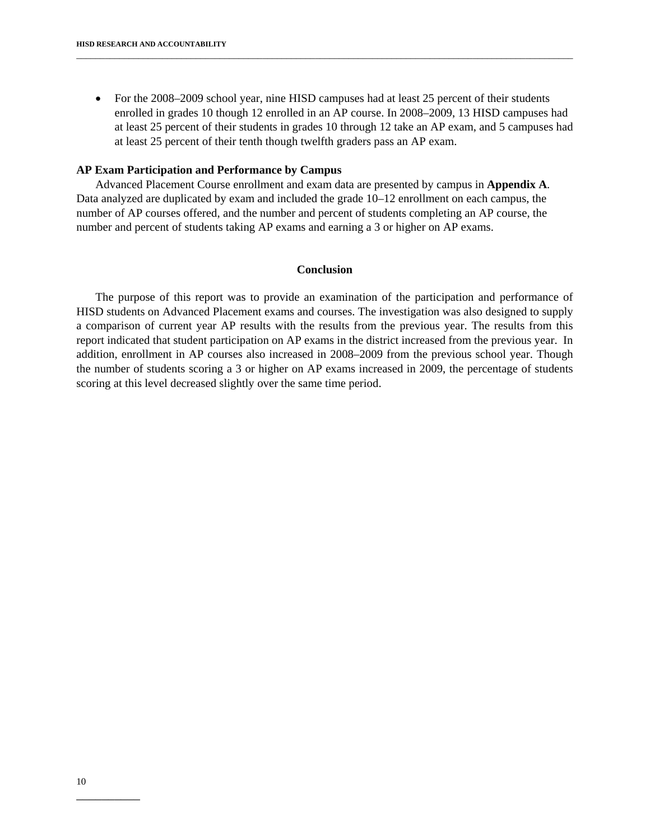• For the 2008–2009 school year, nine HISD campuses had at least 25 percent of their students enrolled in grades 10 though 12 enrolled in an AP course. In 2008–2009, 13 HISD campuses had at least 25 percent of their students in grades 10 through 12 take an AP exam, and 5 campuses had at least 25 percent of their tenth though twelfth graders pass an AP exam.

\_\_\_\_\_\_\_\_\_\_\_\_\_\_\_\_\_\_\_\_\_\_\_\_\_\_\_\_\_\_\_\_\_\_\_\_\_\_\_\_\_\_\_\_\_\_\_\_\_\_\_\_\_\_\_\_\_\_\_\_\_\_\_\_\_\_\_\_\_\_\_\_\_\_\_\_\_\_\_\_\_\_\_\_\_\_\_\_\_\_\_\_\_\_\_\_\_\_\_\_\_\_\_\_

## **AP Exam Participation and Performance by Campus**

Advanced Placement Course enrollment and exam data are presented by campus in **Appendix A**. Data analyzed are duplicated by exam and included the grade 10–12 enrollment on each campus, the number of AP courses offered, and the number and percent of students completing an AP course, the number and percent of students taking AP exams and earning a 3 or higher on AP exams.

## **Conclusion**

The purpose of this report was to provide an examination of the participation and performance of HISD students on Advanced Placement exams and courses. The investigation was also designed to supply a comparison of current year AP results with the results from the previous year. The results from this report indicated that student participation on AP exams in the district increased from the previous year. In addition, enrollment in AP courses also increased in 2008–2009 from the previous school year. Though the number of students scoring a 3 or higher on AP exams increased in 2009, the percentage of students scoring at this level decreased slightly over the same time period.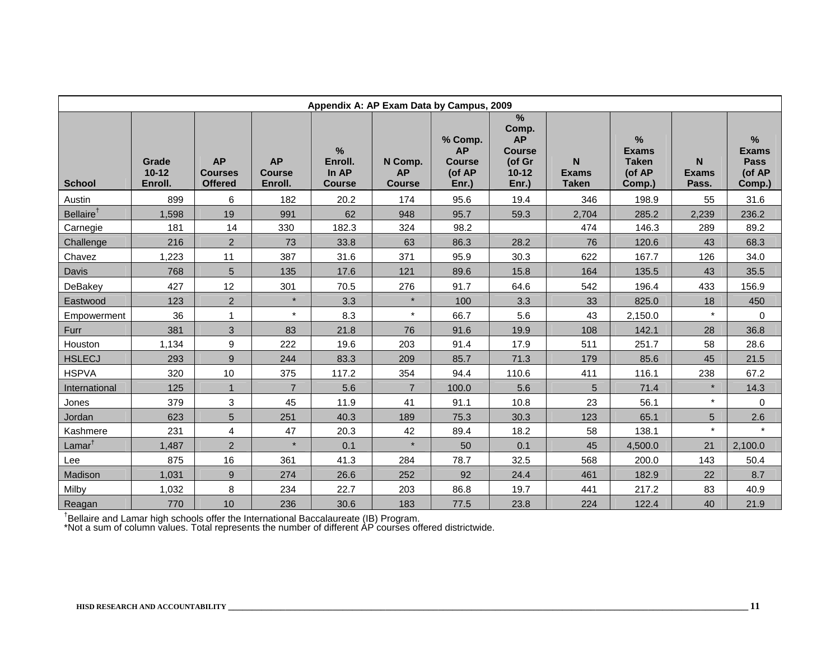| Appendix A: AP Exam Data by Campus, 2009 |                               |                                               |                                       |                                           |                                       |                                                          |                                                                                      |                                   |                                                          |                            |                                                      |
|------------------------------------------|-------------------------------|-----------------------------------------------|---------------------------------------|-------------------------------------------|---------------------------------------|----------------------------------------------------------|--------------------------------------------------------------------------------------|-----------------------------------|----------------------------------------------------------|----------------------------|------------------------------------------------------|
| <b>School</b>                            | Grade<br>$10 - 12$<br>Enroll. | <b>AP</b><br><b>Courses</b><br><b>Offered</b> | <b>AP</b><br><b>Course</b><br>Enroll. | $\%$<br>Enroll.<br>In AP<br><b>Course</b> | N Comp.<br><b>AP</b><br><b>Course</b> | % Comp.<br><b>AP</b><br><b>Course</b><br>(of AP<br>Enr.) | $\frac{9}{6}$<br>Comp.<br><b>AP</b><br><b>Course</b><br>(of Gr<br>$10 - 12$<br>Enr.) | N<br><b>Exams</b><br><b>Taken</b> | $\%$<br><b>Exams</b><br><b>Taken</b><br>(of AP<br>Comp.) | N<br><b>Exams</b><br>Pass. | %<br><b>Exams</b><br><b>Pass</b><br>(of AP<br>Comp.) |
| Austin                                   | 899                           | 6                                             | 182                                   | 20.2                                      | 174                                   | 95.6                                                     | 19.4                                                                                 | 346                               | 198.9                                                    | 55                         | 31.6                                                 |
| Bellaire <sup>†</sup>                    | 1,598                         | 19                                            | 991                                   | 62                                        | 948                                   | 95.7                                                     | 59.3                                                                                 | 2,704                             | 285.2                                                    | 2,239                      | 236.2                                                |
| Carnegie                                 | 181                           | 14                                            | 330                                   | 182.3                                     | 324                                   | 98.2                                                     |                                                                                      | 474                               | 146.3                                                    | 289                        | 89.2                                                 |
| Challenge                                | 216                           | $\overline{2}$                                | 73                                    | 33.8                                      | 63                                    | 86.3                                                     | 28.2                                                                                 | 76                                | 120.6                                                    | 43                         | 68.3                                                 |
| Chavez                                   | 1,223                         | 11                                            | 387                                   | 31.6                                      | 371                                   | 95.9                                                     | 30.3                                                                                 | 622                               | 167.7                                                    | 126                        | 34.0                                                 |
| Davis                                    | 768                           | 5                                             | 135                                   | 17.6                                      | 121                                   | 89.6                                                     | 15.8                                                                                 | 164                               | 135.5                                                    | 43                         | 35.5                                                 |
| DeBakey                                  | 427                           | 12                                            | 301                                   | 70.5                                      | 276                                   | 91.7                                                     | 64.6                                                                                 | 542                               | 196.4                                                    | 433                        | 156.9                                                |
| Eastwood                                 | 123                           | $\overline{2}$                                | $\star$                               | 3.3                                       | $\star$                               | 100                                                      | 3.3                                                                                  | 33                                | 825.0                                                    | 18                         | 450                                                  |
| Empowerment                              | 36                            | 1                                             | $\star$                               | 8.3                                       | $\star$                               | 66.7                                                     | 5.6                                                                                  | 43                                | 2,150.0                                                  | $\star$                    | $\Omega$                                             |
| Furr                                     | 381                           | 3                                             | 83                                    | 21.8                                      | 76                                    | 91.6                                                     | 19.9                                                                                 | 108                               | 142.1                                                    | 28                         | 36.8                                                 |
| Houston                                  | 1,134                         | 9                                             | 222                                   | 19.6                                      | 203                                   | 91.4                                                     | 17.9                                                                                 | 511                               | 251.7                                                    | 58                         | 28.6                                                 |
| <b>HSLECJ</b>                            | 293                           | 9                                             | 244                                   | 83.3                                      | 209                                   | 85.7                                                     | 71.3                                                                                 | 179                               | 85.6                                                     | 45                         | 21.5                                                 |
| <b>HSPVA</b>                             | 320                           | 10                                            | 375                                   | 117.2                                     | 354                                   | 94.4                                                     | 110.6                                                                                | 411                               | 116.1                                                    | 238                        | 67.2                                                 |
| International                            | 125                           | $\mathbf{1}$                                  | $\overline{7}$                        | 5.6                                       | $\overline{7}$                        | 100.0                                                    | 5.6                                                                                  | 5                                 | 71.4                                                     | $\star$                    | 14.3                                                 |
| Jones                                    | 379                           | 3                                             | 45                                    | 11.9                                      | 41                                    | 91.1                                                     | 10.8                                                                                 | 23                                | 56.1                                                     | $\star$                    | 0                                                    |
| Jordan                                   | 623                           | 5                                             | 251                                   | 40.3                                      | 189                                   | 75.3                                                     | 30.3                                                                                 | 123                               | 65.1                                                     | 5                          | 2.6                                                  |
| Kashmere                                 | 231                           | 4                                             | 47                                    | 20.3                                      | 42                                    | 89.4                                                     | 18.2                                                                                 | 58                                | 138.1                                                    | $\star$                    | $\star$                                              |
| Lamar <sup>†</sup>                       | 1,487                         | $\overline{2}$                                | $\star$                               | 0.1                                       | $\star$                               | 50                                                       | 0.1                                                                                  | 45                                | 4,500.0                                                  | 21                         | 2,100.0                                              |
| Lee                                      | 875                           | 16                                            | 361                                   | 41.3                                      | 284                                   | 78.7                                                     | 32.5                                                                                 | 568                               | 200.0                                                    | 143                        | 50.4                                                 |
| Madison                                  | 1,031                         | 9                                             | 274                                   | 26.6                                      | 252                                   | 92                                                       | 24.4                                                                                 | 461                               | 182.9                                                    | 22                         | 8.7                                                  |
| Milby                                    | 1,032                         | 8                                             | 234                                   | 22.7                                      | 203                                   | 86.8                                                     | 19.7                                                                                 | 441                               | 217.2                                                    | 83                         | 40.9                                                 |
| Reagan                                   | 770                           | 10                                            | 236                                   | 30.6                                      | 183                                   | 77.5                                                     | 23.8                                                                                 | 224                               | 122.4                                                    | 40                         | 21.9                                                 |

†Bellaire and Lamar high schools offer the International Baccalaureate (IB) Program.

\*Not a sum of column values. Total represents the number of different AP courses offered districtwide.